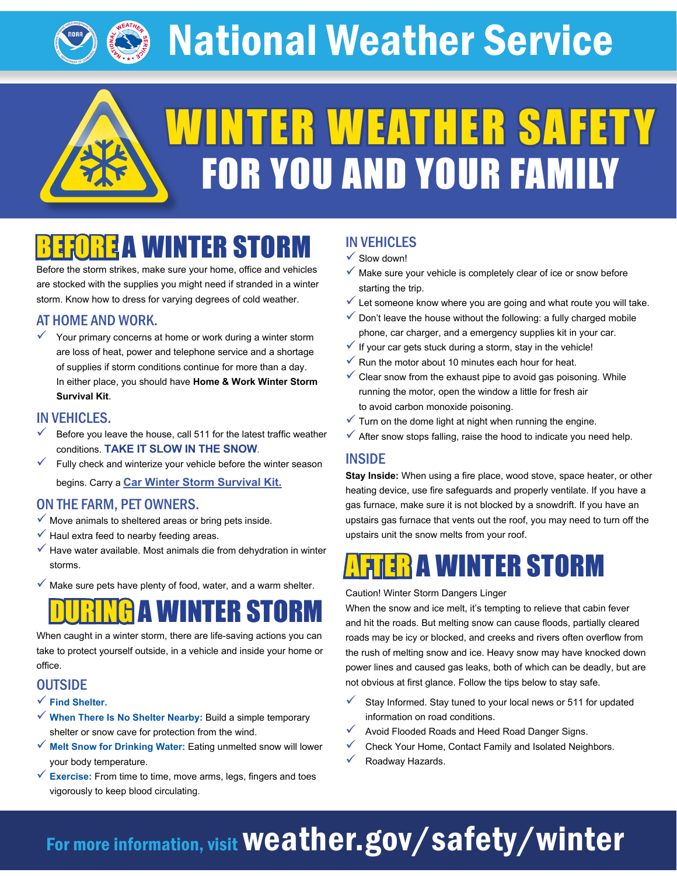National Weather Service

WINTER WEATHER SAFETY

FOR YOU AND YOUR FAMILY

## **EA WINTER STOR**

Before the storm strikes, make sure your home, office and vehicles are stocked with the supplies you might need if stranded in a winter storm. Know how to dress for varying degrees of cold weather.

#### AT HOME AND WORK.

 $\checkmark$  Your primary concerns at home or work during a winter storm are loss of heat, power and telephone service and a shortage of supplies if storm conditions continue for more than a day. In either place, you should have **Home & Work Winter Storm Survival Kit**.

#### IN VEHICLES.

- Before you leave the house, call 511 for the latest traffic weather conditions. **TAKE IT SLOW IN THE SNOW**.
- $\checkmark$  Fully check and winterize your vehicle before the winter season begins. Carry a **[Car Winter Storm Survival Kit](https://www.weather.gov/safety/winter-before).**

#### ON THE FARM, PET OWNERS.

- $\checkmark$  Move animals to sheltered areas or bring pets inside.
- $\checkmark$  Haul extra feed to nearby feeding areas.
- $\checkmark$  Have water available. Most animals die from dehydration in winter storms.
- $\checkmark$  Make sure pets have plenty of food, water, and a warm shelter.

## TER STO

When caught in a winter storm, there are life-saving actions you can take to protect yourself outside, in a vehicle and inside your home or office.

#### **OUTSIDE**

- 9 **Find Shelter.**
- 9 **When There Is No Shelter Nearby:** Build a simple temporary shelter or snow cave for protection from the wind.
- 9 **Melt Snow for Drinking Water:** Eating unmelted snow will lower your body temperature.
- 9 **Exercise:** From time to time, move arms, legs, fingers and toes vigorously to keep blood circulating.

### IN VEHICLES

- $\checkmark$  Slow down!
- $\checkmark$  Make sure your vehicle is completely clear of ice or snow before starting the trip.
- $\checkmark$  Let someone know where you are going and what route you will take.
- $\checkmark$  Don't leave the house without the following: a fully charged mobile phone, car charger, and a emergency supplies kit in your car.
- $\checkmark$  If your car gets stuck during a storm, stay in the vehicle!
- $\checkmark$  Run the motor about 10 minutes each hour for heat.
- $\checkmark$  Clear snow from the exhaust pipe to avoid gas poisoning. While running the motor, open the window a little for fresh air to avoid carbon monoxide poisoning.
- $\checkmark$  Turn on the dome light at night when running the engine.
- $\checkmark$  After snow stops falling, raise the hood to indicate you need help.

#### INSIDE

**Stay Inside:** When using a fire place, wood stove, space heater, or other heating device, use fire safeguards and properly ventilate. If you have a gas furnace, make sure it is not blocked by a snowdrift. If you have an upstairs gas furnace that vents out the roof, you may need to turn off the upstairs unit the snow melts from your roof.

## A WINTER STORM

Caution! Winter Storm Dangers Linger

When the snow and ice melt, it's tempting to relieve that cabin fever and hit the roads. But melting snow can cause floods, partially cleared roads may be icy or blocked, and creeks and rivers often overflow from the rush of melting snow and ice. Heavy snow may have knocked down power lines and caused gas leaks, both of which can be deadly, but are not obvious at first glance. Follow the tips below to stay safe.

- Stay Informed. Stay tuned to your local news or 511 for updated information on road conditions.
- Avoid Flooded Roads and Heed Road Danger Signs.
- $\checkmark$  Check Your Home, Contact Family and Isolated Neighbors.
- Roadway Hazards.

## For more information, visit Weather.gov/safety/winter